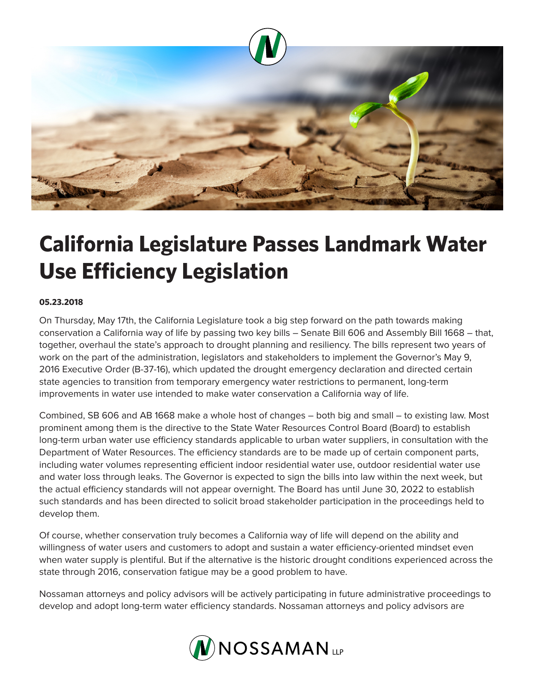

## **California Legislature Passes Landmark Water Use Efficiency Legislation**

## **05.23.2018**

On Thursday, May 17th, the California Legislature took a big step forward on the path towards making conservation a California way of life by passing two key bills – Senate Bill 606 and Assembly Bill 1668 – that, together, overhaul the state's approach to drought planning and resiliency. The bills represent two years of work on the part of the administration, legislators and stakeholders to implement the Governor's May 9, 2016 Executive Order (B-37-16), which updated the drought emergency declaration and directed certain state agencies to transition from temporary emergency water restrictions to permanent, long-term improvements in water use intended to make water conservation a California way of life.

Combined, SB 606 and AB 1668 make a whole host of changes – both big and small – to existing law. Most prominent among them is the directive to the State Water Resources Control Board (Board) to establish long-term urban water use efficiency standards applicable to urban water suppliers, in consultation with the Department of Water Resources. The efficiency standards are to be made up of certain component parts, including water volumes representing efficient indoor residential water use, outdoor residential water use and water loss through leaks. The Governor is expected to sign the bills into law within the next week, but the actual efficiency standards will not appear overnight. The Board has until June 30, 2022 to establish such standards and has been directed to solicit broad stakeholder participation in the proceedings held to develop them.

Of course, whether conservation truly becomes a California way of life will depend on the ability and willingness of water users and customers to adopt and sustain a water efficiency-oriented mindset even when water supply is plentiful. But if the alternative is the historic drought conditions experienced across the state through 2016, conservation fatigue may be a good problem to have.

Nossaman attorneys and policy advisors will be actively participating in future administrative proceedings to develop and adopt long-term water efficiency standards. Nossaman attorneys and policy advisors are